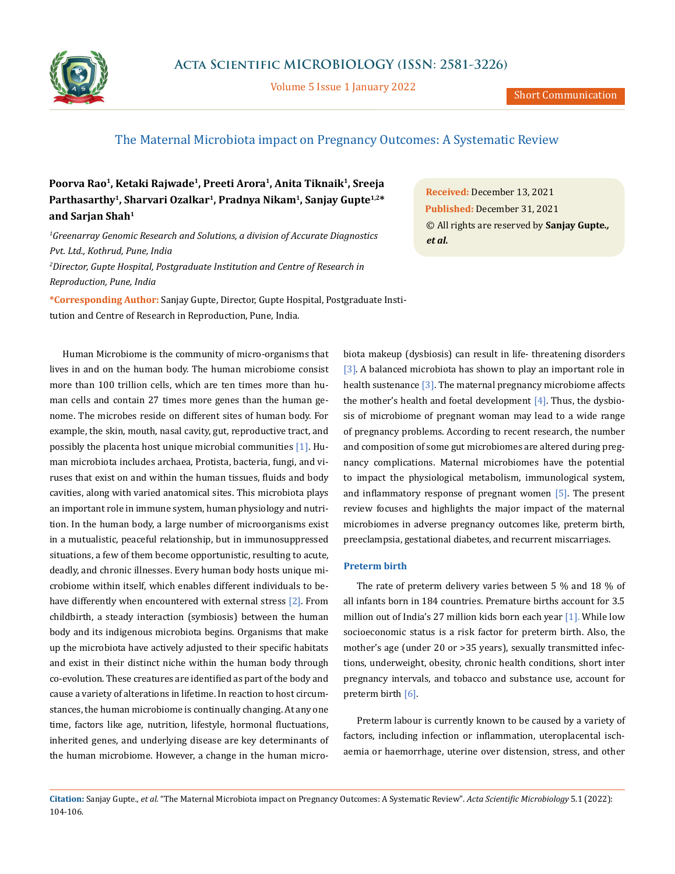

Volume 5 Issue 1 January 2022

# The Maternal Microbiota impact on Pregnancy Outcomes: A Systematic Review

**Poorva Rao1, Ketaki Rajwade1, Preeti Arora1, Anita Tiknaik1, Sreeja**  Parthasarthy<sup>1</sup>, Sharvari Ozalkar<sup>1</sup>, Pradnya Nikam<sup>1</sup>, Sanjay Gupte<sup>1,2\*</sup> **and Sarjan Shah1**

*1 Greenarray Genomic Research and Solutions, a division of Accurate Diagnostics Pvt. Ltd., Kothrud, Pune, India 2 Director, Gupte Hospital, Postgraduate Institution and Centre of Research in Reproduction, Pune, India*

**\*Corresponding Author:** Sanjay Gupte, Director, Gupte Hospital, Postgraduate Institution and Centre of Research in Reproduction, Pune, India.

Human Microbiome is the community of micro-organisms that lives in and on the human body. The human microbiome consist more than 100 trillion cells, which are ten times more than human cells and contain 27 times more genes than the human genome. The microbes reside on different sites of human body. For example, the skin, mouth, nasal cavity, gut, reproductive tract, and possibly the placenta host unique microbial communities [1]. Human microbiota includes archaea, Protista, bacteria, fungi, and viruses that exist on and within the human tissues, fluids and body cavities, along with varied anatomical sites. This microbiota plays an important role in immune system, human physiology and nutrition. In the human body, a large number of microorganisms exist in a mutualistic, peaceful relationship, but in immunosuppressed situations, a few of them become opportunistic, resulting to acute, deadly, and chronic illnesses. Every human body hosts unique microbiome within itself, which enables different individuals to behave differently when encountered with external stress [2]. From childbirth, a steady interaction (symbiosis) between the human body and its indigenous microbiota begins. Organisms that make up the microbiota have actively adjusted to their specific habitats and exist in their distinct niche within the human body through co-evolution. These creatures are identified as part of the body and cause a variety of alterations in lifetime. In reaction to host circumstances, the human microbiome is continually changing. At any one time, factors like age, nutrition, lifestyle, hormonal fluctuations, inherited genes, and underlying disease are key determinants of the human microbiome. However, a change in the human micro-

**Received:** December 13, 2021 **Published:** December 31, 2021 © All rights are reserved by **Sanjay Gupte***., et al.*

biota makeup (dysbiosis) can result in life- threatening disorders [3]. A balanced microbiota has shown to play an important role in health sustenance [3]. The maternal pregnancy microbiome affects the mother's health and foetal development  $[4]$ . Thus, the dysbiosis of microbiome of pregnant woman may lead to a wide range of pregnancy problems. According to recent research, the number and composition of some gut microbiomes are altered during pregnancy complications. Maternal microbiomes have the potential to impact the physiological metabolism, immunological system, and inflammatory response of pregnant women [5]. The present review focuses and highlights the major impact of the maternal microbiomes in adverse pregnancy outcomes like, preterm birth, preeclampsia, gestational diabetes, and recurrent miscarriages.

## **Preterm birth**

The rate of preterm delivery varies between 5 % and 18 % of all infants born in 184 countries. Premature births account for 3.5 million out of India's 27 million kids born each year [1]. While low socioeconomic status is a risk factor for preterm birth. Also, the mother's age (under 20 or >35 years), sexually transmitted infections, underweight, obesity, chronic health conditions, short inter pregnancy intervals, and tobacco and substance use, account for preterm birth [6].

Preterm labour is currently known to be caused by a variety of factors, including infection or inflammation, uteroplacental ischaemia or haemorrhage, uterine over distension, stress, and other

**Citation:** Sanjay Gupte*., et al.* "The Maternal Microbiota impact on Pregnancy Outcomes: A Systematic Review". *Acta Scientific Microbiology* 5.1 (2022): 104-106.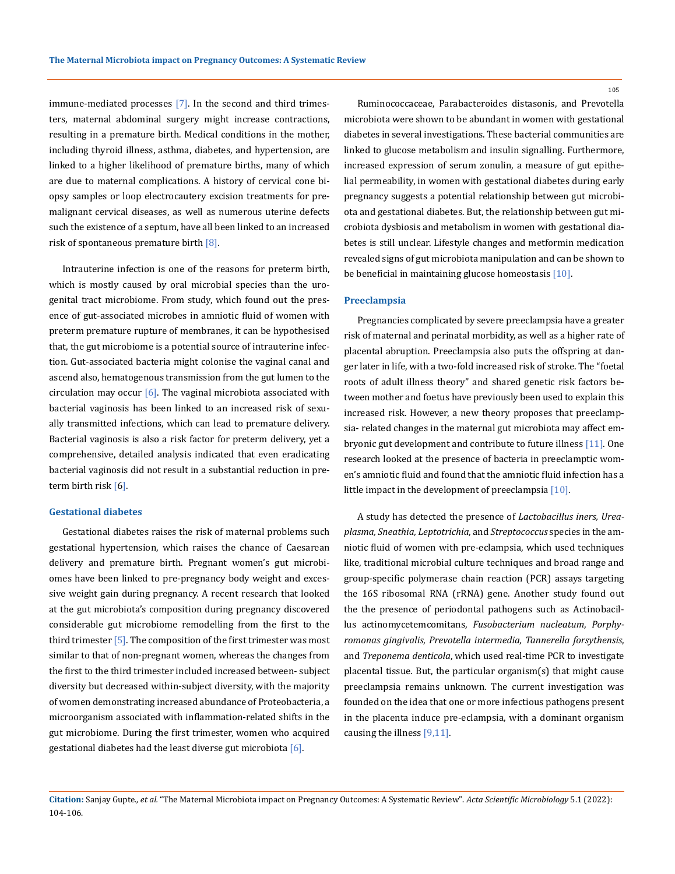immune-mediated processes [7]. In the second and third trimesters, maternal abdominal surgery might increase contractions, resulting in a premature birth. Medical conditions in the mother, including thyroid illness, asthma, diabetes, and hypertension, are linked to a higher likelihood of premature births, many of which are due to maternal complications. A history of cervical cone biopsy samples or loop electrocautery excision treatments for premalignant cervical diseases, as well as numerous uterine defects such the existence of a septum, have all been linked to an increased risk of spontaneous premature birth [8].

Intrauterine infection is one of the reasons for preterm birth, which is mostly caused by oral microbial species than the urogenital tract microbiome. From study, which found out the presence of gut-associated microbes in amniotic fluid of women with preterm premature rupture of membranes, it can be hypothesised that, the gut microbiome is a potential source of intrauterine infection. Gut-associated bacteria might colonise the vaginal canal and ascend also, hematogenous transmission from the gut lumen to the circulation may occur  $[6]$ . The vaginal microbiota associated with bacterial vaginosis has been linked to an increased risk of sexually transmitted infections, which can lead to premature delivery. Bacterial vaginosis is also a risk factor for preterm delivery, yet a comprehensive, detailed analysis indicated that even eradicating bacterial vaginosis did not result in a substantial reduction in preterm birth risk [6].

#### **Gestational diabetes**

Gestational diabetes raises the risk of maternal problems such gestational hypertension, which raises the chance of Caesarean delivery and premature birth. Pregnant women's gut microbiomes have been linked to pre-pregnancy body weight and excessive weight gain during pregnancy. A recent research that looked at the gut microbiota's composition during pregnancy discovered considerable gut microbiome remodelling from the first to the third trimester  $[5]$ . The composition of the first trimester was most similar to that of non-pregnant women, whereas the changes from the first to the third trimester included increased between- subject diversity but decreased within-subject diversity, with the majority of women demonstrating increased abundance of Proteobacteria, a microorganism associated with inflammation-related shifts in the gut microbiome. During the first trimester, women who acquired gestational diabetes had the least diverse gut microbiota  $[6]$ .

Ruminococcaceae, Parabacteroides distasonis, and Prevotella microbiota were shown to be abundant in women with gestational diabetes in several investigations. These bacterial communities are linked to glucose metabolism and insulin signalling. Furthermore, increased expression of serum zonulin, a measure of gut epithelial permeability, in women with gestational diabetes during early pregnancy suggests a potential relationship between gut microbiota and gestational diabetes. But, the relationship between gut microbiota dysbiosis and metabolism in women with gestational diabetes is still unclear. Lifestyle changes and metformin medication revealed signs of gut microbiota manipulation and can be shown to be beneficial in maintaining glucose homeostasis [10].

#### **Preeclampsia**

Pregnancies complicated by severe preeclampsia have a greater risk of maternal and perinatal morbidity, as well as a higher rate of placental abruption. Preeclampsia also puts the offspring at danger later in life, with a two-fold increased risk of stroke. The "foetal roots of adult illness theory" and shared genetic risk factors between mother and foetus have previously been used to explain this increased risk. However, a new theory proposes that preeclampsia- related changes in the maternal gut microbiota may affect embryonic gut development and contribute to future illness [11]. One research looked at the presence of bacteria in preeclamptic women's amniotic fluid and found that the amniotic fluid infection has a little impact in the development of preeclampsia [10].

A study has detected the presence of *Lactobacillus iners, Ureaplasma, Sneathia, Leptotrichia*, and *Streptococcus* species in the amniotic fluid of women with pre-eclampsia, which used techniques like, traditional microbial culture techniques and broad range and group-specific polymerase chain reaction (PCR) assays targeting the 16S ribosomal RNA (rRNA) gene. Another study found out the the presence of periodontal pathogens such as Actinobacillus actinomycetemcomitans, *Fusobacterium nucleatum*, *Porphyromonas gingivalis*, *Prevotella intermedia, Tannerella forsythensis*, and *Treponema denticola*, which used real-time PCR to investigate placental tissue. But, the particular organism(s) that might cause preeclampsia remains unknown. The current investigation was founded on the idea that one or more infectious pathogens present in the placenta induce pre-eclampsia, with a dominant organism causing the illness [9,11].

105

**Citation:** Sanjay Gupte*., et al.* "The Maternal Microbiota impact on Pregnancy Outcomes: A Systematic Review". *Acta Scientific Microbiology* 5.1 (2022): 104-106.